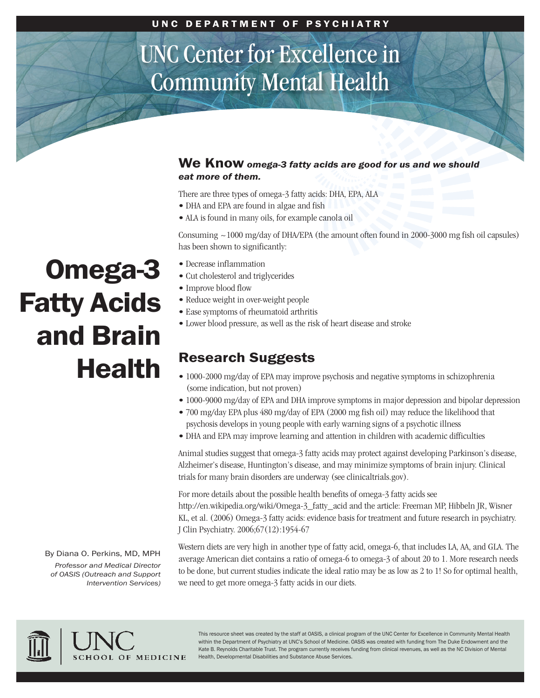## UNC Center for Excellence in Community Mental Health

#### **We Know** *omega-3 fatty acids are good for us and we should eat more of them.*

There are three types of omega-3 fatty acids: DHA, EPA, ALA

- DHA and EPA are found in algae and fish
- ALA is found in many oils, for example canola oil

Consuming  $\sim$  1000 mg/day of DHA/EPA (the amount often found in 2000-3000 mg fish oil capsules) has been shown to significantly:

- Decrease inflammation
- Cut cholesterol and triglycerides
- Improve blood flow
- Reduce weight in over-weight people
- Ease symptoms of rheumatoid arthritis
- Lower blood pressure, as well as the risk of heart disease and stroke

### **Research Suggests**

- 1000-2000 mg/day of EPA may improve psychosis and negative symptoms in schizophrenia (some indication, but not proven)
- 1000-9000 mg/day of EPA and DHA improve symptoms in major depression and bipolar depression
- 700 mg/day EPA plus 480 mg/day of EPA (2000 mg fish oil) may reduce the likelihood that psychosis develops in young people with early warning signs of a psychotic illness
- DHA and EPA may improve learning and attention in children with academic difficulties

Animal studies suggest that omega-3 fatty acids may protect against developing Parkinson's disease, Alzheimer's disease, Huntington's disease, and may minimize symptoms of brain injury. Clinical trials for many brain disorders are underway (see clinicaltrials.gov).

For more details about the possible health benefits of omega-3 fatty acids see http://en.wikipedia.org/wiki/Omega-3\_fatty\_acid and the article: Freeman MP, Hibbeln JR, Wisner KL, et al. (2006) Omega-3 fatty acids: evidence basis for treatment and future research in psychiatry. J Clin Psychiatry. 2006;67(12):1954-67

Western diets are very high in another type of fatty acid, omega-6, that includes LA, AA, and GLA. The average American diet contains a ratio of omega-6 to omega-3 of about 20 to 1. More research needs to be done, but current studies indicate the ideal ratio may be as low as 2 to 1! So for optimal health, we need to get more omega-3 fatty acids in our diets.



This resource sheet was created by the staff at OASIS, a clinical program of the UNC Center for Excellence in Community Mental Health within the Department of Psychiatry at UNC's School of Medicine. OASIS was created with funding from The Duke Endowment and the Kate B. Reynolds Charitable Trust. The program currently receives funding from clinical revenues, as well as the NC Division of Mental Health, Developmental Disabilities and Substance Abuse Services.

# **Omega-3 Fatty Acids and Brain Health**

By Diana O. Perkins, MD, MPH *Professor and Medical Director of OASIS (Outreach and Support Intervention Services)*